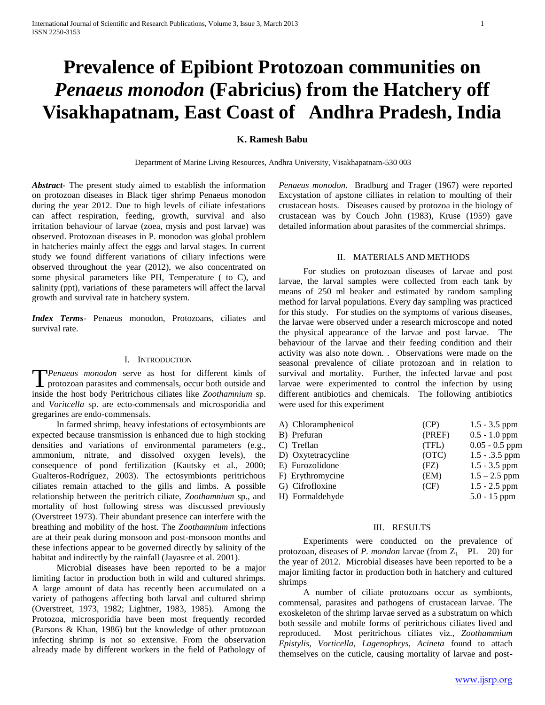# **Prevalence of Epibiont Protozoan communities on**  *Penaeus monodon* **(Fabricius) from the Hatchery off Visakhapatnam, East Coast of Andhra Pradesh, India**

## **K. Ramesh Babu**

Department of Marine Living Resources, Andhra University, Visakhapatnam-530 003

*Abstract***-** The present study aimed to establish the information on protozoan diseases in Black tiger shrimp Penaeus monodon during the year 2012. Due to high levels of ciliate infestations can affect respiration, feeding, growth, survival and also irritation behaviour of larvae (zoea, mysis and post larvae) was observed. Protozoan diseases in P. monodon was global problem in hatcheries mainly affect the eggs and larval stages. In current study we found different variations of ciliary infections were observed throughout the year (2012), we also concentrated on some physical parameters like PH, Temperature ( to C), and salinity (ppt), variations of these parameters will affect the larval growth and survival rate in hatchery system.

*Index Terms*- Penaeus monodon, Protozoans, ciliates and survival rate.

### I. INTRODUCTION

*Penaeus monodon* serve as host for different kinds of **T**Penaeus monodon serve as host for different kinds of protozoan parasites and commensals, occur both outside and inside the host body Peritrichous ciliates like *Zoothamnium* sp. and *Voritcella* sp. are ecto-commensals and microsporidia and gregarines are endo-commensals.

 In farmed shrimp, heavy infestations of ectosymbionts are expected because transmission is enhanced due to high stocking densities and variations of environmental parameters (e.g., ammonium, nitrate, and dissolved oxygen levels), the consequence of pond fertilization (Kautsky et al., 2000; Gualteros-Rodríguez, 2003). The ectosymbionts peritrichous ciliates remain attached to the gills and limbs. A possible relationship between the peritrich ciliate, *Zoothamnium* sp., and mortality of host following stress was discussed previously (Overstreet 1973). Their abundant presence can interfere with the breathing and mobility of the host. The *Zoothamnium* infections are at their peak during monsoon and post-monsoon months and these infections appear to be governed directly by salinity of the habitat and indirectly by the rainfall (Jayasree et al. 2001).

 Microbial diseases have been reported to be a major limiting factor in production both in wild and cultured shrimps. A large amount of data has recently been accumulated on a variety of pathogens affecting both larval and cultured shrimp (Overstreet, 1973, 1982; Lightner, 1983, 1985). Among the Protozoa, microsporidia have been most frequently recorded (Parsons & Khan, 1986) but the knowledge of other protozoan infecting shrimp is not so extensive. From the observation already made by different workers in the field of Pathology of *Penaeus monodon*. Bradburg and Trager (1967) were reported Excystation of apstone cilliates in relation to moulting of their crustacean hosts. Diseases caused by protozoa in the biology of crustacean was by Couch John (1983), Kruse (1959) gave detailed information about parasites of the commercial shrimps.

#### II. MATERIALS AND METHODS

 For studies on protozoan diseases of larvae and post larvae, the larval samples were collected from each tank by means of 250 ml beaker and estimated by random sampling method for larval populations. Every day sampling was practiced for this study. For studies on the symptoms of various diseases, the larvae were observed under a research microscope and noted the physical appearance of the larvae and post larvae. The behaviour of the larvae and their feeding condition and their activity was also note down. . Observations were made on the seasonal prevalence of ciliate protozoan and in relation to survival and mortality. Further, the infected larvae and post larvae were experimented to control the infection by using different antibiotics and chemicals. The following antibiotics were used for this experiment

| A) Chloramphenicol | (CP)   | $1.5 - 3.5$ ppm  |
|--------------------|--------|------------------|
| B) Prefuran        | (PREF) | $0.5 - 1.0$ ppm  |
| C) Treflan         | (TFL)  | $0.05 - 0.5$ ppm |
| D) Oxytetracycline | (OTC)  | $1.5 - .3.5$ ppm |
| E) Furozolidone    | (FZ)   | $1.5 - 3.5$ ppm  |
| F) Erythromycine   | (EM)   | $1.5 - 2.5$ ppm  |
| G) Cifrofloxine    | (CF)   | $1.5 - 2.5$ ppm  |
| H) Formaldehyde    |        | $5.0 - 15$ ppm   |
|                    |        |                  |

## III. RESULTS

 Experiments were conducted on the prevalence of protozoan, diseases of *P. mondon* larvae (from  $Z_1 - PL - 20$ ) for the year of 2012. Microbial diseases have been reported to be a major limiting factor in production both in hatchery and cultured shrimps

 A number of ciliate protozoans occur as symbionts, commensal, parasites and pathogens of crustacean larvae. The exoskeleton of the shrimp larvae served as a substratum on which both sessile and mobile forms of peritrichous ciliates lived and reproduced. Most peritrichous ciliates viz., *Zoothammium Epistylis, Vorticella, Lagenophrys, Acineta* found to attach themselves on the cuticle, causing mortality of larvae and post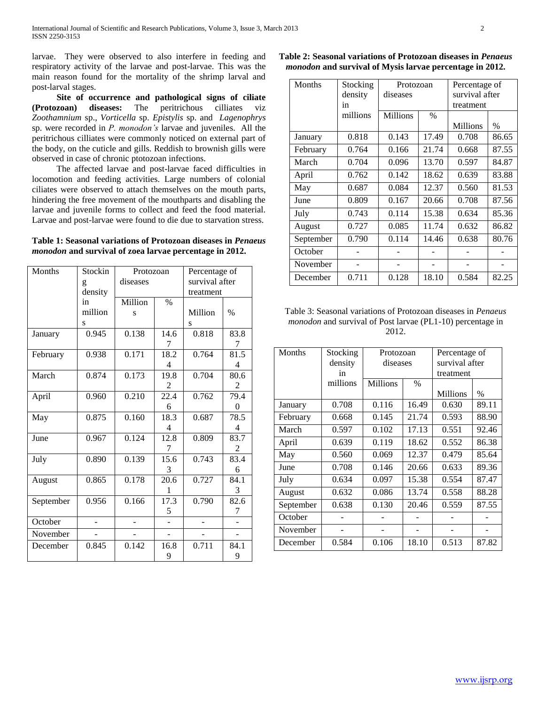larvae. They were observed to also interfere in feeding and respiratory activity of the larvae and post-larvae. This was the main reason found for the mortality of the shrimp larval and post-larval stages.

 **Site of occurrence and pathological signs of ciliate (Protozoan) diseases:** The peritrichous cilliates viz *Zoothamnium* sp., *Vorticella* sp. *Epistylis* sp. and *Lagenophrys* sp. were recorded in *P. monodon's* larvae and juveniles. All the peritrichous cilliates were commonly noticed on external part of the body, on the cuticle and gills. Reddish to brownish gills were observed in case of chronic ptotozoan infections.

 The affected larvae and post-larvae faced difficulties in locomotion and feeding activities. Large numbers of colonial ciliates were observed to attach themselves on the mouth parts, hindering the free movement of the mouthparts and disabling the larvae and juvenile forms to collect and feed the food material. Larvae and post-larvae were found to die due to starvation stress.

## **Table 1: Seasonal variations of Protozoan diseases in** *Penaeus monodon* **and survival of zoea larvae percentage in 2012.**

| Months    | Stockin        | Protozoan |                   | Percentage of  |      |
|-----------|----------------|-----------|-------------------|----------------|------|
|           | g              | diseases  |                   | survival after |      |
|           | density        |           |                   | treatment      |      |
|           | in             | Million   | $\%$              |                |      |
|           | million        | S         |                   | Million        | $\%$ |
|           | S              |           |                   | S              |      |
| January   | 0.945          | 0.138     | 14.6              | 0.818          | 83.8 |
|           |                |           | 7                 |                | 7    |
| February  | 0.938          | 0.171     | 18.2              | 0.764          | 81.5 |
|           |                |           | 4                 |                | 4    |
| March     | 0.874          | 0.173     | 19.8              | 0.704          | 80.6 |
|           |                |           | 2                 |                | 2    |
| April     | 0.960          | 0.210     | $\overline{22.4}$ | 0.762          | 79.4 |
|           |                |           | 6                 |                | 0    |
| May       | 0.875          | 0.160     | 18.3              | 0.687          | 78.5 |
|           |                |           | 4                 |                | 4    |
| June      | 0.967          | 0.124     | 12.8              | 0.809          | 83.7 |
|           |                |           | 7                 |                | 2    |
| July      | 0.890          | 0.139     | 15.6              | 0.743          | 83.4 |
|           |                |           | 3                 |                | 6    |
| August    | 0.865          | 0.178     | 20.6              | 0.727          | 84.1 |
|           |                |           | 1                 |                | 3    |
| September | 0.956          | 0.166     | 17.3              | 0.790          | 82.6 |
|           |                |           | 5                 |                | 7    |
| October   | $\overline{a}$ |           |                   | $\overline{a}$ |      |
| November  |                |           |                   |                |      |
| December  | 0.845          | 0.142     | 16.8              | 0.711          | 84.1 |
|           |                |           | 9                 |                | 9    |

**Table 2: Seasonal variations of Protozoan diseases in** *Penaeus monodon* **and survival of Mysis larvae percentage in 2012.**

| <b>Months</b> | Stocking | Protozoan |               | Percentage of  |               |
|---------------|----------|-----------|---------------|----------------|---------------|
|               | density  | diseases  |               | survival after |               |
|               | in       |           |               | treatment      |               |
|               | millions | Millions  | $\frac{0}{0}$ |                |               |
|               |          |           |               | Millions       | $\frac{0}{0}$ |
| January       | 0.818    | 0.143     | 17.49         | 0.708          | 86.65         |
| February      | 0.764    | 0.166     | 21.74         | 0.668          | 87.55         |
| March         | 0.704    | 0.096     | 13.70         | 0.597          | 84.87         |
| April         | 0.762    | 0.142     | 18.62         | 0.639          | 83.88         |
| May           | 0.687    | 0.084     | 12.37         | 0.560          | 81.53         |
| June          | 0.809    | 0.167     | 20.66         | 0.708          | 87.56         |
| July          | 0.743    | 0.114     | 15.38         | 0.634          | 85.36         |
| August        | 0.727    | 0.085     | 11.74         | 0.632          | 86.82         |
| September     | 0.790    | 0.114     | 14.46         | 0.638          | 80.76         |
| October       |          |           |               |                |               |
| November      |          |           |               |                |               |
| December      | 0.711    | 0.128     | 18.10         | 0.584          | 82.25         |

Table 3: Seasonal variations of Protozoan diseases in *Penaeus monodon* and survival of Post larvae (PL1-10) percentage in 2012.

| <b>Months</b> | Stocking | Protozoan       |       | Percentage of  |               |
|---------------|----------|-----------------|-------|----------------|---------------|
|               | density  | diseases        |       | survival after |               |
|               | in       |                 |       | treatment      |               |
|               | millions | <b>Millions</b> | $\%$  |                |               |
|               |          |                 |       | Millions       | $\frac{0}{0}$ |
| January       | 0.708    | 0.116           | 16.49 | 0.630          | 89.11         |
| February      | 0.668    | 0.145           | 21.74 | 0.593          | 88.90         |
| March         | 0.597    | 0.102           | 17.13 | 0.551          | 92.46         |
| April         | 0.639    | 0.119           | 18.62 | 0.552          | 86.38         |
| May           | 0.560    | 0.069           | 12.37 | 0.479          | 85.64         |
| June          | 0.708    | 0.146           | 20.66 | 0.633          | 89.36         |
| July          | 0.634    | 0.097           | 15.38 | 0.554          | 87.47         |
| August        | 0.632    | 0.086           | 13.74 | 0.558          | 88.28         |
| September     | 0.638    | 0.130           | 20.46 | 0.559          | 87.55         |
| October       |          |                 |       |                |               |
| November      |          |                 |       |                |               |
| December      | 0.584    | 0.106           | 18.10 | 0.513          | 87.82         |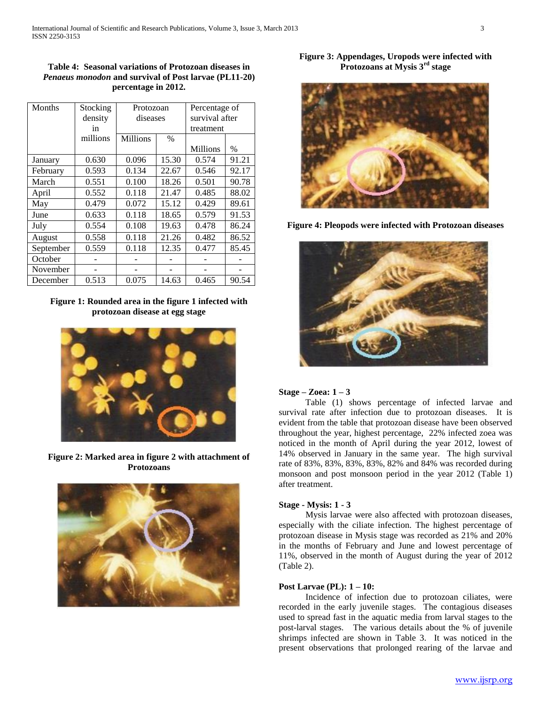**Table 4: Seasonal variations of Protozoan diseases in**  *Penaeus monodon* **and survival of Post larvae (PL11-20) percentage in 2012.**

| Months    | Stocking | Protozoan       |       | Percentage of   |               |
|-----------|----------|-----------------|-------|-----------------|---------------|
|           | density  | diseases        |       | survival after  |               |
|           | in       |                 |       | treatment       |               |
|           | millions | <b>Millions</b> | $\%$  |                 |               |
|           |          |                 |       | <b>Millions</b> | $\frac{0}{0}$ |
| January   | 0.630    | 0.096           | 15.30 | 0.574           | 91.21         |
| February  | 0.593    | 0.134           | 22.67 | 0.546           | 92.17         |
| March     | 0.551    | 0.100           | 18.26 | 0.501           | 90.78         |
| April     | 0.552    | 0.118           | 21.47 | 0.485           | 88.02         |
| May       | 0.479    | 0.072           | 15.12 | 0.429           | 89.61         |
| June      | 0.633    | 0.118           | 18.65 | 0.579           | 91.53         |
| July      | 0.554    | 0.108           | 19.63 | 0.478           | 86.24         |
| August    | 0.558    | 0.118           | 21.26 | 0.482           | 86.52         |
| September | 0.559    | 0.118           | 12.35 | 0.477           | 85.45         |
| October   |          |                 |       |                 |               |
| November  |          |                 |       |                 |               |
| December  | 0.513    | 0.075           | 14.63 | 0.465           | 90.54         |

# **Figure 1: Rounded area in the figure 1 infected with protozoan disease at egg stage**



**Figure 2: Marked area in figure 2 with attachment of Protozoans**



**Figure 3: Appendages, Uropods were infected with Protozoans at Mysis 3rd stage**



**Figure 4: Pleopods were infected with Protozoan diseases**



### **Stage – Zoea: 1 – 3**

 Table (1) shows percentage of infected larvae and survival rate after infection due to protozoan diseases. It is evident from the table that protozoan disease have been observed throughout the year, highest percentage, 22% infected zoea was noticed in the month of April during the year 2012, lowest of 14% observed in January in the same year. The high survival rate of 83%, 83%, 83%, 83%, 82% and 84% was recorded during monsoon and post monsoon period in the year 2012 (Table 1) after treatment.

## **Stage - Mysis: 1 - 3**

 Mysis larvae were also affected with protozoan diseases, especially with the ciliate infection. The highest percentage of protozoan disease in Mysis stage was recorded as 21% and 20% in the months of February and June and lowest percentage of 11%, observed in the month of August during the year of 2012 (Table 2).

## **Post Larvae (PL): 1 – 10:**

 Incidence of infection due to protozoan ciliates, were recorded in the early juvenile stages. The contagious diseases used to spread fast in the aquatic media from larval stages to the post-larval stages. The various details about the % of juvenile shrimps infected are shown in Table 3. It was noticed in the present observations that prolonged rearing of the larvae and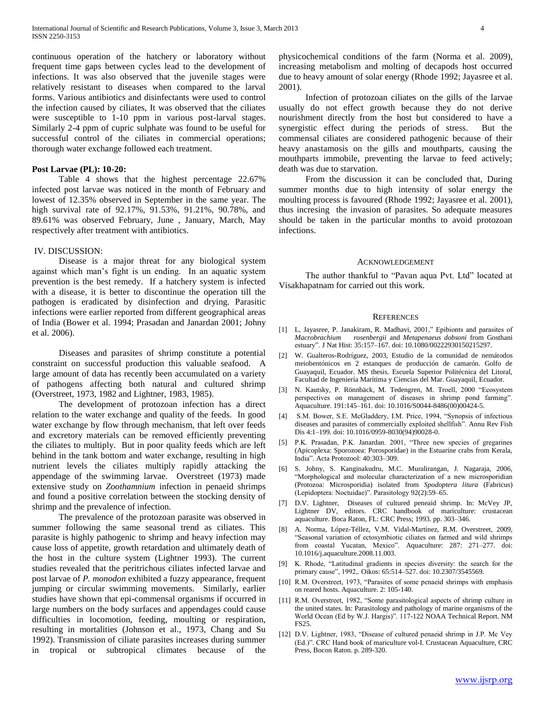continuous operation of the hatchery or laboratory without frequent time gaps between cycles lead to the development of infections. It was also observed that the juvenile stages were relatively resistant to diseases when compared to the larval forms. Various antibiotics and disinfectants were used to control the infection caused by ciliates, It was observed that the ciliates were susceptible to 1-10 ppm in various post-larval stages. Similarly 2-4 ppm of cupric sulphate was found to be useful for successful control of the ciliates in commercial operations; thorough water exchange followed each treatment.

## **Post Larvae (PL): 10-20:**

 Table 4 shows that the highest percentage 22.67% infected post larvae was noticed in the month of February and lowest of 12.35% observed in September in the same year. The high survival rate of 92.17%, 91.53%, 91.21%, 90.78%, and 89.61% was observed February, June , January, March, May respectively after treatment with antibiotics.

#### IV. DISCUSSION:

 Disease is a major threat for any biological system against which man's fight is un ending. In an aquatic system prevention is the best remedy. If a hatchery system is infected with a disease, it is better to discontinue the operation till the pathogen is eradicated by disinfection and drying. Parasitic infections were earlier reported from different geographical areas of India (Bower et al. 1994; Prasadan and Janardan 2001; Johny et al. 2006).

 Diseases and parasites of shrimp constitute a potential constraint on successful production this valuable seafood. A large amount of data has recently been accumulated on a variety of pathogens affecting both natural and cultured shrimp (Overstreet, 1973, 1982 and Lightner, 1983, 1985).

 The development of protozoan infection has a direct relation to the water exchange and quality of the feeds. In good water exchange by flow through mechanism, that left over feeds and excretory materials can be removed efficiently preventing the ciliates to multiply. But in poor quality feeds which are left behind in the tank bottom and water exchange, resulting in high nutrient levels the ciliates multiply rapidly attacking the appendage of the swimming larvae. Overstreet (1973) made extensive study on *Zoothamnium* infection in penaeid shrimps and found a positive correlation between the stocking density of shrimp and the prevalence of infection.

 The prevalence of the protozoan parasite was observed in summer following the same seasonal trend as ciliates. This parasite is highly pathogenic to shrimp and heavy infection may cause loss of appetite, growth retardation and ultimately death of the host in the culture system (Lightner 1993). The current studies revealed that the peritrichous ciliates infected larvae and post larvae of *P. monodon* exhibited a fuzzy appearance, frequent jumping or circular swimming movements. Similarly, earlier studies have shown that epi-commensal organisms if occurred in large numbers on the body surfaces and appendages could cause difficulties in locomotion, feeding, moulting or respiration, resulting in mortalities (Johnson et al., 1973, Chang and Su 1992). Transmission of ciliate parasites increases during summer in tropical or subtropical climates because of the

physicochemical conditions of the farm (Norma et al. 2009), increasing metabolism and molting of decapods host occurred due to heavy amount of solar energy (Rhode 1992; Jayasree et al. 2001).

 Infection of protozoan ciliates on the gills of the larvae usually do not effect growth because they do not derive nourishment directly from the host but considered to have a synergistic effect during the periods of stress. But the commensal ciliates are considered pathogenic because of their heavy anastamosis on the gills and mouthparts, causing the mouthparts immobile, preventing the larvae to feed actively; death was due to starvation.

 From the discussion it can be concluded that, During summer months due to high intensity of solar energy the moulting process is favoured (Rhode 1992; Jayasree et al. 2001), thus incresing the invasion of parasites. So adequate measures should be taken in the particular months to avoid protozoan infections.

#### ACKNOWLEDGEMENT

The author thankful to "Pavan aqua Pvt. Ltd" located at Visakhapatnam for carried out this work.

#### **REFERENCES**

- [1] L, Jayasree, P. Janakiram, R. Madhavi, 2001," Epibionts and parasites of *Macrobrachium rosenbergii* and *Metapenaeus dobsoni* from Gosthani estuary". J Nat Hist: 35:157–167. doi: 10.1080/00222930150215297.
- [2] W. Gualteros-Rodríguez, 2003, Estudio de la comunidad de nemátodos meiobentónicos en 2 estanques de producción de camarón. Golfo de Guayaquil, Ecuador. MS thesis. Escuela Superior Politécnica del Litoral, Facultad de Ingeniería Marítima y Ciencias del Mar. Guayaquil, Ecuador.
- [3] N. Kautsky, P. Rönnbäck, M. Tedengren, M. Troell, 2000 "Ecosystem perspectives on management of diseases in shrimp pond farming". Aquaculture. 191:145–161. doi: 10.1016/S0044-8486(00)00424-5.
- [4] S.M. Bower, S.E. McGladdery, I.M. Price, 1994, "Synopsis of infectious diseases and parasites of commercially exploited shellfish". Annu Rev Fish Dis 4:1–199. doi: 10.1016/0959-8030(94)90028-0.
- [5] P.K. Prasadan, P.K. Janardan. 2001, "Three new species of gregarines (Apicoplexa: Sporozoea: Porosporidae) in the Estuarine crabs from Kerala, India". Acta Protozool: 40:303–309.
- [6] S. Johny, S. Kanginakudru, M.C. Muralirangan, J. Nagaraja, 2006, "Morphological and molecular characterization of a new microsporidian (Protozoa: Microsporidia) isolated from *Spodoptera litura* (Fabricus) (Lepidoptera: Noctuidae)". Parasitology 92(2):59–65.
- [7] D.V. Lightner, Diseases of cultured peneaid shrimp. In: McVey JP, Lightner DV, editors. CRC handbook of mariculture: crustacean aquaculture. Boca Raton, FL: CRC Press; 1993. pp. 303–346.
- [8] A. Norma, López-Téllez, V.M. Vidal-Martínez, R.M. Overstreet, 2009, "Seasonal variation of ectosymbiotic ciliates on farmed and wild shrimps from coastal Yucatan, Mexico". Aquaculture: 287: 271–277. doi: 10.1016/j.aquaculture.2008.11.003.
- [9] K. Rhode, "Latitudinal gradients in species diversity: the search for the primary cause", 1992,. Oikos: 65:514–527. doi: 10.2307/3545569.
- [10] R.M. Overstreet, 1973, "Parasites of some penaeid shrimps with emphasis on reared hosts. Aquaculture. 2: 105-140.
- [11] R.M. Overstreet, 1982, "Some parasitological aspects of shrimp culture in the united states. In: Parasitology and pathology of marine organisms of the World Ocean (Ed by W.J. Hargis)". 117-122 NOAA Technical Report. NM FS25.
- [12] D.V. Lightner, 1983, "Disease of cultured penaeid shrimp in J.P. Mc Vey (Ed.)". CRC Hand book of mariculture vol-I. Crustacean Aquaculture, CRC Press, Bocon Raton. p. 289-320.